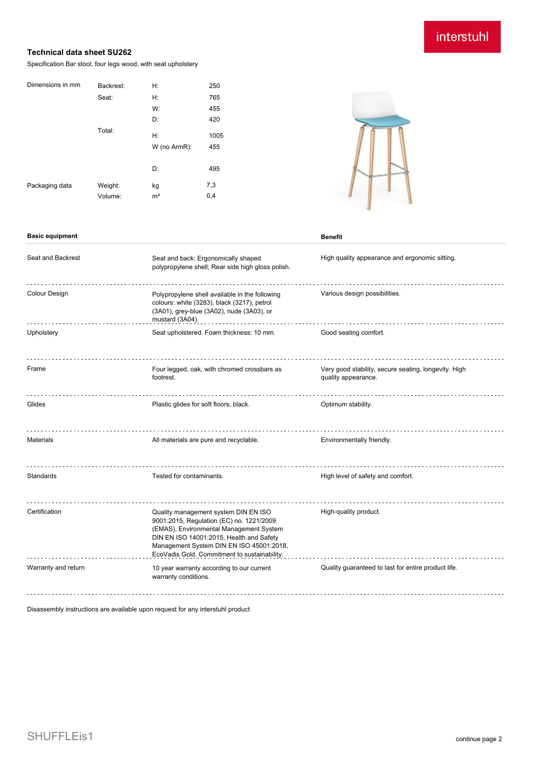# interstuhl

## **Technical data sheet SU262**

Specification Bar stool, four legs wood, with seat upholstery

| 250                 |
|---------------------|
| 765                 |
| 455                 |
| 420                 |
| 1005                |
| W (no ArmR):<br>455 |
|                     |
| 495                 |
| 7,3                 |
| 0,4                 |
|                     |



| <b>Basic equipment</b> |                                                                                                                                                                                                                                                                     | <b>Benefit</b>                                                              |  |
|------------------------|---------------------------------------------------------------------------------------------------------------------------------------------------------------------------------------------------------------------------------------------------------------------|-----------------------------------------------------------------------------|--|
| Seat and Backrest      | Seat and back: Ergonomically shaped<br>polypropylene shell; Rear side high gloss polish.                                                                                                                                                                            | High quality appearance and ergonomic sitting.                              |  |
| <b>Colour Design</b>   | Polypropylene shell available in the following<br>colours: white (3283), black (3217), petrol<br>(3A01), grey-blue (3A02), nude (3A03), or<br>mustard (3A04).                                                                                                       | Various design possibilities.                                               |  |
| Upholstery             | Seat upholstered. Foam thickness: 10 mm.                                                                                                                                                                                                                            | Good seating comfort.                                                       |  |
| Frame                  | Four legged, oak, with chromed crossbars as<br>footrest.                                                                                                                                                                                                            | Very good stability, secure seating, longevity. High<br>quality appearance. |  |
| Glides                 | Plastic glides for soft floors, black.                                                                                                                                                                                                                              | Optimum stability.                                                          |  |
| <b>Materials</b>       | All materials are pure and recyclable.                                                                                                                                                                                                                              | Environmentally friendly.                                                   |  |
| Standards              | Tested for contaminants.                                                                                                                                                                                                                                            | High level of safety and comfort.                                           |  |
| Certification          | Quality management system DIN EN ISO<br>9001:2015, Regulation (EC) no. 1221/2009<br>(EMAS), Environmental Management System<br>DIN EN ISO 14001:2015, Health and Safety<br>Management System DIN EN ISO 45001:2018,<br>EcoVadis Gold. Commitment to sustainability. | High-quality product.                                                       |  |
| Warranty and return    | 10 year warranty according to our current<br>warranty conditions.                                                                                                                                                                                                   | Quality guaranteed to last for entire product life.                         |  |
|                        |                                                                                                                                                                                                                                                                     |                                                                             |  |

Disassembly instructions are available upon request for any interstuhl product